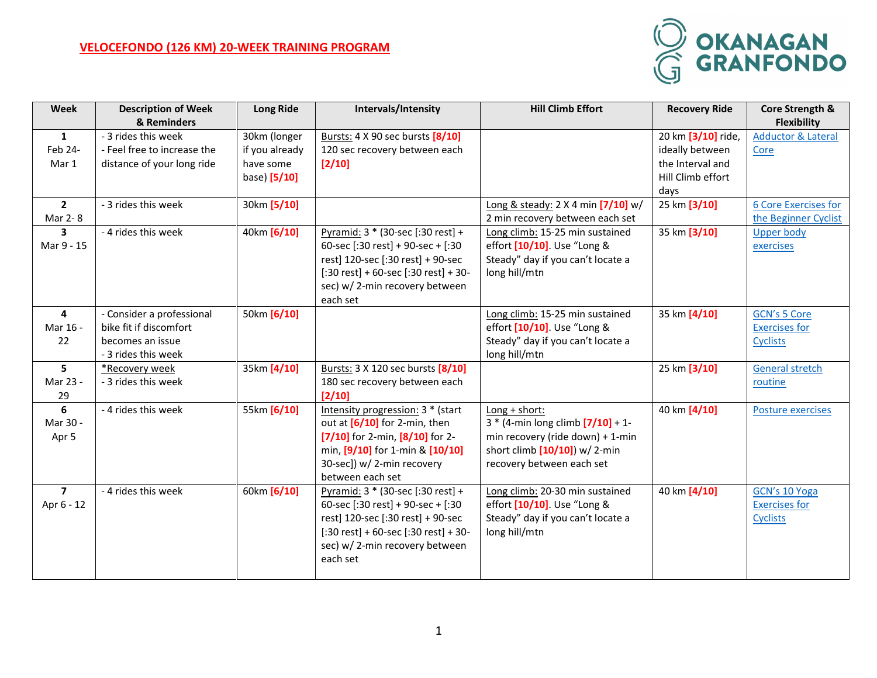## **VELOCEFONDO (126 KM) 20-WEEK TRAINING PROGRAM**



| Week           | <b>Description of Week</b><br>& Reminders | <b>Long Ride</b> | Intervals/Intensity                                        | <b>Hill Climb Effort</b>                                | <b>Recovery Ride</b> | Core Strength &<br><b>Flexibility</b> |
|----------------|-------------------------------------------|------------------|------------------------------------------------------------|---------------------------------------------------------|----------------------|---------------------------------------|
| $\mathbf{1}$   | - 3 rides this week                       | 30km (longer     | Bursts: 4 X 90 sec bursts [8/10]                           |                                                         | 20 km [3/10] ride,   | <b>Adductor &amp; Lateral</b>         |
| Feb 24-        | - Feel free to increase the               | if you already   | 120 sec recovery between each                              |                                                         | ideally between      | Core                                  |
| Mar 1          | distance of your long ride                | have some        | $[2/10]$                                                   |                                                         | the Interval and     |                                       |
|                |                                           | base) [5/10]     |                                                            |                                                         | Hill Climb effort    |                                       |
|                |                                           |                  |                                                            |                                                         | days                 |                                       |
| $\overline{2}$ | - 3 rides this week                       | 30km [5/10]      |                                                            | Long & steady: 2 X 4 min [7/10] w/                      | 25 km [3/10]         | <b>6 Core Exercises for</b>           |
| Mar 2-8        |                                           |                  |                                                            | 2 min recovery between each set                         |                      | the Beginner Cyclist                  |
| 3              | - 4 rides this week                       | 40km [6/10]      | Pyramid: 3 * (30-sec [:30 rest] +                          | Long climb: 15-25 min sustained                         | 35 km [3/10]         | <b>Upper body</b>                     |
| Mar 9 - 15     |                                           |                  | 60-sec [:30 rest] + 90-sec + [:30                          | effort [10/10]. Use "Long &                             |                      | exercises                             |
|                |                                           |                  | rest] 120-sec [:30 rest] + 90-sec                          | Steady" day if you can't locate a                       |                      |                                       |
|                |                                           |                  | $[:30 \text{ rest}] + 60$ -sec $[:30 \text{ rest}] + 30$ - | long hill/mtn                                           |                      |                                       |
|                |                                           |                  | sec) w/2-min recovery between                              |                                                         |                      |                                       |
|                |                                           |                  | each set                                                   |                                                         |                      |                                       |
| 4              | - Consider a professional                 | 50km [6/10]      |                                                            | Long climb: 15-25 min sustained                         | 35 km [4/10]         | <b>GCN's 5 Core</b>                   |
| Mar 16 -       | bike fit if discomfort                    |                  |                                                            | effort [10/10]. Use "Long &                             |                      | <b>Exercises for</b>                  |
| 22             | becomes an issue                          |                  |                                                            | Steady" day if you can't locate a                       |                      | <b>Cyclists</b>                       |
|                | - 3 rides this week                       |                  |                                                            | long hill/mtn                                           |                      |                                       |
| 5              | *Recovery week                            | 35km [4/10]      | Bursts: 3 X 120 sec bursts [8/10]                          |                                                         | 25 km [3/10]         | <b>General stretch</b>                |
| Mar 23 -       | - 3 rides this week                       |                  | 180 sec recovery between each                              |                                                         |                      | routine                               |
| 29<br>6        | - 4 rides this week                       | 55km [6/10]      | [2/10]<br>Intensity progression: 3 * (start                |                                                         |                      |                                       |
| Mar 30 -       |                                           |                  | out at $[6/10]$ for 2-min, then                            | Long + short:<br>$3 * (4 - min long climb [7/10] + 1 -$ | 40 km [4/10]         | <b>Posture exercises</b>              |
| Apr 5          |                                           |                  | $[7/10]$ for 2-min, $[8/10]$ for 2-                        | min recovery (ride down) + 1-min                        |                      |                                       |
|                |                                           |                  | min, [9/10] for 1-min & [10/10]                            | short climb $[10/10]$ ) w/ 2-min                        |                      |                                       |
|                |                                           |                  | 30-sec]) w/ 2-min recovery                                 | recovery between each set                               |                      |                                       |
|                |                                           |                  | between each set                                           |                                                         |                      |                                       |
| $\overline{7}$ | - 4 rides this week                       | 60km [6/10]      | Pyramid: 3 * (30-sec [:30 rest] +                          | Long climb: 20-30 min sustained                         | 40 km [4/10]         | GCN's 10 Yoga                         |
| Apr 6 - 12     |                                           |                  | 60-sec [:30 rest] + 90-sec + [:30                          | effort [10/10]. Use "Long &                             |                      | <b>Exercises for</b>                  |
|                |                                           |                  | rest] 120-sec [:30 rest] + 90-sec                          | Steady" day if you can't locate a                       |                      | <b>Cyclists</b>                       |
|                |                                           |                  | $[:30 \text{ rest}] + 60$ -sec $[:30 \text{ rest}] + 30$ - | long hill/mtn                                           |                      |                                       |
|                |                                           |                  | sec) w/2-min recovery between                              |                                                         |                      |                                       |
|                |                                           |                  | each set                                                   |                                                         |                      |                                       |
|                |                                           |                  |                                                            |                                                         |                      |                                       |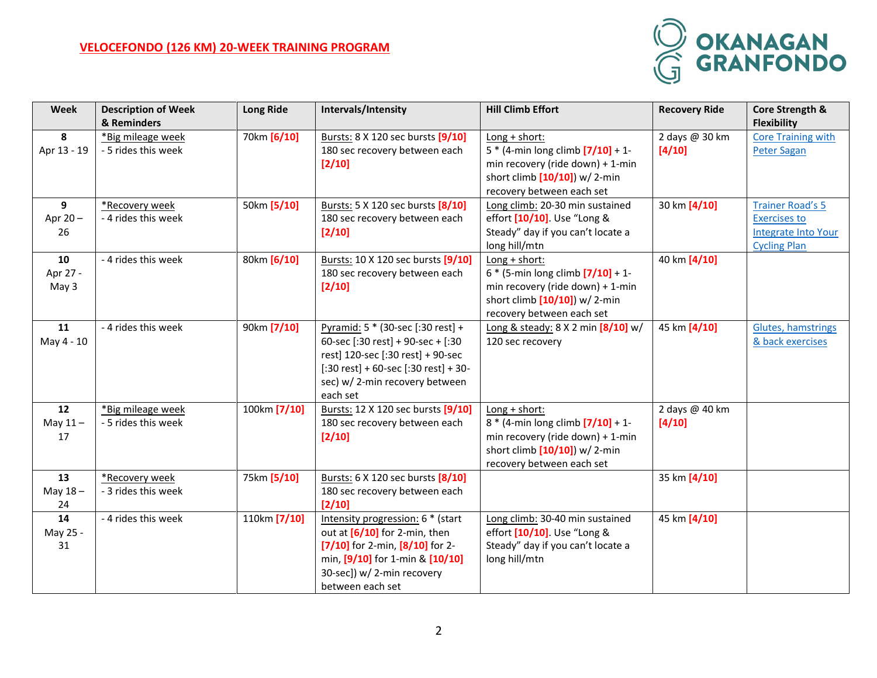## **VELOCEFONDO (126 KM) 20-WEEK TRAINING PROGRAM**



| Week        | <b>Description of Week</b> | <b>Long Ride</b> | Intervals/Intensity                                           | <b>Hill Climb Effort</b>               | <b>Recovery Ride</b> | Core Strength &            |
|-------------|----------------------------|------------------|---------------------------------------------------------------|----------------------------------------|----------------------|----------------------------|
|             | & Reminders                |                  |                                                               |                                        |                      | <b>Flexibility</b>         |
| 8           | *Big mileage week          | 70km [6/10]      | Bursts: 8 X 120 sec bursts [9/10]                             | $Long + short:$                        | 2 days @ 30 km       | <b>Core Training with</b>  |
| Apr 13 - 19 | - 5 rides this week        |                  | 180 sec recovery between each                                 | $5 * (4 - min long climb [7/10] + 1 -$ | [4/10]               | <b>Peter Sagan</b>         |
|             |                            |                  | [2/10]                                                        | min recovery (ride down) + 1-min       |                      |                            |
|             |                            |                  |                                                               | short climb [10/10]) w/ 2-min          |                      |                            |
|             |                            |                  |                                                               | recovery between each set              |                      |                            |
| 9           | *Recovery week             | 50km [5/10]      | Bursts: 5 X 120 sec bursts [8/10]                             | Long climb: 20-30 min sustained        | 30 km [4/10]         | <b>Trainer Road's 5</b>    |
| Apr 20-     | - 4 rides this week        |                  | 180 sec recovery between each                                 | effort [10/10]. Use "Long &            |                      | <b>Exercises to</b>        |
| 26          |                            |                  | $[2/10]$                                                      | Steady" day if you can't locate a      |                      | <b>Integrate Into Your</b> |
|             |                            |                  |                                                               | long hill/mtn                          |                      | <b>Cycling Plan</b>        |
| 10          | - 4 rides this week        | 80km [6/10]      | Bursts: 10 X 120 sec bursts [9/10]                            | Long + short:                          | 40 km [4/10]         |                            |
| Apr 27 -    |                            |                  | 180 sec recovery between each                                 | $6 * (5 - min long climb [7/10] + 1 -$ |                      |                            |
| May 3       |                            |                  | $[2/10]$                                                      | min recovery (ride down) + 1-min       |                      |                            |
|             |                            |                  |                                                               | short climb $[10/10]$ ) w/ 2-min       |                      |                            |
|             |                            |                  |                                                               | recovery between each set              |                      |                            |
| 11          | - 4 rides this week        | 90km [7/10]      | Pyramid: 5 * (30-sec [:30 rest] +                             | Long & steady: 8 X 2 min [8/10] w/     | 45 km [4/10]         | Glutes, hamstrings         |
| May 4 - 10  |                            |                  | 60-sec [:30 rest] + 90-sec + [:30                             | 120 sec recovery                       |                      | & back exercises           |
|             |                            |                  | rest] 120-sec [:30 rest] + 90-sec                             |                                        |                      |                            |
|             |                            |                  | $[:30 \text{ rest}] + 60\text{-sec}[:30 \text{ rest}] + 30$ - |                                        |                      |                            |
|             |                            |                  | sec) w/2-min recovery between<br>each set                     |                                        |                      |                            |
| 12          | *Big mileage week          | 100km [7/10]     | Bursts: 12 X 120 sec bursts [9/10]                            | Long + short:                          | 2 days @ 40 km       |                            |
| May $11-$   | - 5 rides this week        |                  | 180 sec recovery between each                                 | $8 * (4 - min long climb [7/10] + 1 -$ | [4/10]               |                            |
| 17          |                            |                  | $[2/10]$                                                      | min recovery (ride down) + 1-min       |                      |                            |
|             |                            |                  |                                                               | short climb $[10/10]$ ) w/ 2-min       |                      |                            |
|             |                            |                  |                                                               | recovery between each set              |                      |                            |
| 13          | *Recovery week             | 75km [5/10]      | Bursts: 6 X 120 sec bursts [8/10]                             |                                        | 35 km [4/10]         |                            |
| May $18 -$  | - 3 rides this week        |                  | 180 sec recovery between each                                 |                                        |                      |                            |
| 24          |                            |                  | [2/10]                                                        |                                        |                      |                            |
| 14          | - 4 rides this week        | 110km [7/10]     | Intensity progression: 6 * (start                             | Long climb: 30-40 min sustained        | 45 km [4/10]         |                            |
| May 25 -    |                            |                  | out at $[6/10]$ for 2-min, then                               | effort [10/10]. Use "Long &            |                      |                            |
| 31          |                            |                  | [7/10] for 2-min, $[8/10]$ for 2-                             | Steady" day if you can't locate a      |                      |                            |
|             |                            |                  | min, [9/10] for 1-min & [10/10]                               | long hill/mtn                          |                      |                            |
|             |                            |                  | 30-sec]) w/ 2-min recovery                                    |                                        |                      |                            |
|             |                            |                  | between each set                                              |                                        |                      |                            |